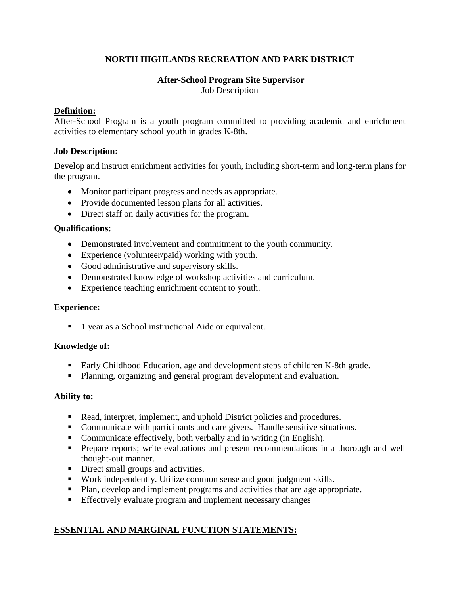# **NORTH HIGHLANDS RECREATION AND PARK DISTRICT**

#### **After-School Program Site Supervisor**  Job Description

### **Definition:**

After-School Program is a youth program committed to providing academic and enrichment activities to elementary school youth in grades K-8th.

#### **Job Description:**

Develop and instruct enrichment activities for youth, including short-term and long-term plans for the program.

- Monitor participant progress and needs as appropriate.
- Provide documented lesson plans for all activities.
- Direct staff on daily activities for the program.

#### **Qualifications:**

- Demonstrated involvement and commitment to the youth community.
- Experience (volunteer/paid) working with youth.
- Good administrative and supervisory skills.
- Demonstrated knowledge of workshop activities and curriculum.
- Experience teaching enrichment content to youth.

#### **Experience:**

■ 1 year as a School instructional Aide or equivalent.

#### **Knowledge of:**

- Early Childhood Education, age and development steps of children K-8th grade.
- Planning, organizing and general program development and evaluation.

#### **Ability to:**

- Read, interpret, implement, and uphold District policies and procedures.
- Communicate with participants and care givers. Handle sensitive situations.
- Communicate effectively, both verbally and in writing (in English).
- **Prepare reports; write evaluations and present recommendations in a thorough and well** thought-out manner.
- Direct small groups and activities.
- Work independently. Utilize common sense and good judgment skills.
- Plan, develop and implement programs and activities that are age appropriate.
- **Effectively evaluate program and implement necessary changes**

## **ESSENTIAL AND MARGINAL FUNCTION STATEMENTS:**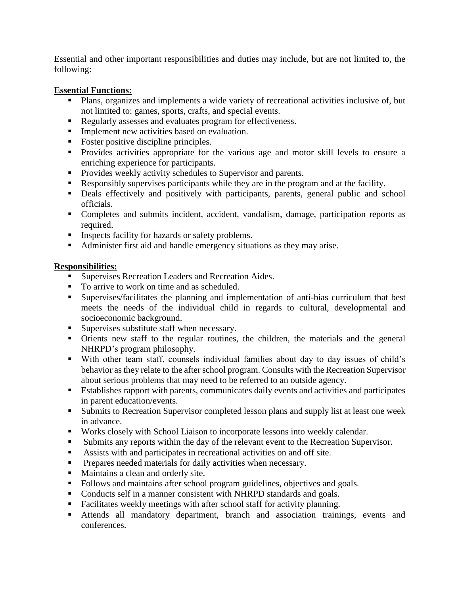Essential and other important responsibilities and duties may include, but are not limited to, the following:

### **Essential Functions:**

- Plans, organizes and implements a wide variety of recreational activities inclusive of, but not limited to: games, sports, crafts, and special events.
- Regularly assesses and evaluates program for effectiveness.
- **Implement new activities based on evaluation.**
- Foster positive discipline principles.
- **Provides activities appropriate for the various age and motor skill levels to ensure a** enriching experience for participants.
- **Provides weekly activity schedules to Supervisor and parents.**
- Responsibly supervises participants while they are in the program and at the facility.
- Deals effectively and positively with participants, parents, general public and school officials.
- Completes and submits incident, accident, vandalism, damage, participation reports as required.
- **Inspects facility for hazards or safety problems.**
- Administer first aid and handle emergency situations as they may arise.

## **Responsibilities:**

- **Supervises Recreation Leaders and Recreation Aides.**
- To arrive to work on time and as scheduled.
- Supervises/facilitates the planning and implementation of anti-bias curriculum that best meets the needs of the individual child in regards to cultural, developmental and socioeconomic background.
- Supervises substitute staff when necessary.
- Orients new staff to the regular routines, the children, the materials and the general NHRPD's program philosophy.
- With other team staff, counsels individual families about day to day issues of child's behavior as they relate to the after school program. Consults with the Recreation Supervisor about serious problems that may need to be referred to an outside agency.
- Establishes rapport with parents, communicates daily events and activities and participates in parent education/events.
- **Submits to Recreation Supervisor completed lesson plans and supply list at least one week** in advance.
- Works closely with School Liaison to incorporate lessons into weekly calendar.
- Submits any reports within the day of the relevant event to the Recreation Supervisor.
- Assists with and participates in recreational activities on and off site.
- **Prepares needed materials for daily activities when necessary.**
- Maintains a clean and orderly site.
- Follows and maintains after school program guidelines, objectives and goals.
- Conducts self in a manner consistent with NHRPD standards and goals.
- Facilitates weekly meetings with after school staff for activity planning.
- Attends all mandatory department, branch and association trainings, events and conferences.